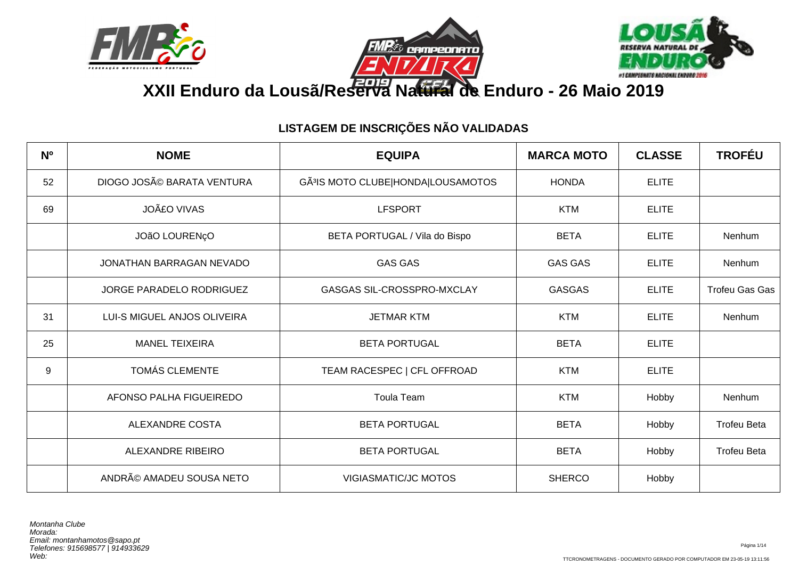





# **XXII Enduro da Lousã/Reserva Natural de Enduro - 26 Maio 2019**

| N <sup>o</sup> | <b>NOME</b>                 | <b>EQUIPA</b>                                  | <b>MARCA MOTO</b> | <b>CLASSE</b> | <b>TROFÉU</b>         |
|----------------|-----------------------------|------------------------------------------------|-------------------|---------------|-----------------------|
| 52             | DIOGO JOSé BARATA VENTURA   | GÃ <sup>3</sup> IS MOTO CLUBE HONDA LOUSAMOTOS | <b>HONDA</b>      | <b>ELITE</b>  |                       |
| 69             | <b>JOãO VIVAS</b>           | <b>LFSPORT</b>                                 | <b>KTM</b>        | <b>ELITE</b>  |                       |
|                | JOÃO LOURENÇO               | BETA PORTUGAL / Vila do Bispo                  | <b>BETA</b>       | <b>ELITE</b>  | Nenhum                |
|                | JONATHAN BARRAGAN NEVADO    | <b>GAS GAS</b>                                 | <b>GAS GAS</b>    | <b>ELITE</b>  | Nenhum                |
|                | JORGE PARADELO RODRIGUEZ    | GASGAS SIL-CROSSPRO-MXCLAY                     | <b>GASGAS</b>     | <b>ELITE</b>  | <b>Trofeu Gas Gas</b> |
| 31             | LUI-S MIGUEL ANJOS OLIVEIRA | <b>JETMAR KTM</b>                              | <b>KTM</b>        | <b>ELITE</b>  | Nenhum                |
| 25             | <b>MANEL TEIXEIRA</b>       | <b>BETA PORTUGAL</b>                           | <b>BETA</b>       | <b>ELITE</b>  |                       |
| 9              | <b>TOMÁS CLEMENTE</b>       | TEAM RACESPEC   CFL OFFROAD                    | <b>KTM</b>        | <b>ELITE</b>  |                       |
|                | AFONSO PALHA FIGUEIREDO     | <b>Toula Team</b>                              | <b>KTM</b>        | Hobby         | Nenhum                |
|                | <b>ALEXANDRE COSTA</b>      | <b>BETA PORTUGAL</b>                           | <b>BETA</b>       | Hobby         | <b>Trofeu Beta</b>    |
|                | ALEXANDRE RIBEIRO           | <b>BETA PORTUGAL</b>                           | <b>BETA</b>       | Hobby         | <b>Trofeu Beta</b>    |
|                | ANDRé AMADEU SOUSA NETO     | <b>VIGIASMATIC/JC MOTOS</b>                    | <b>SHERCO</b>     | Hobby         |                       |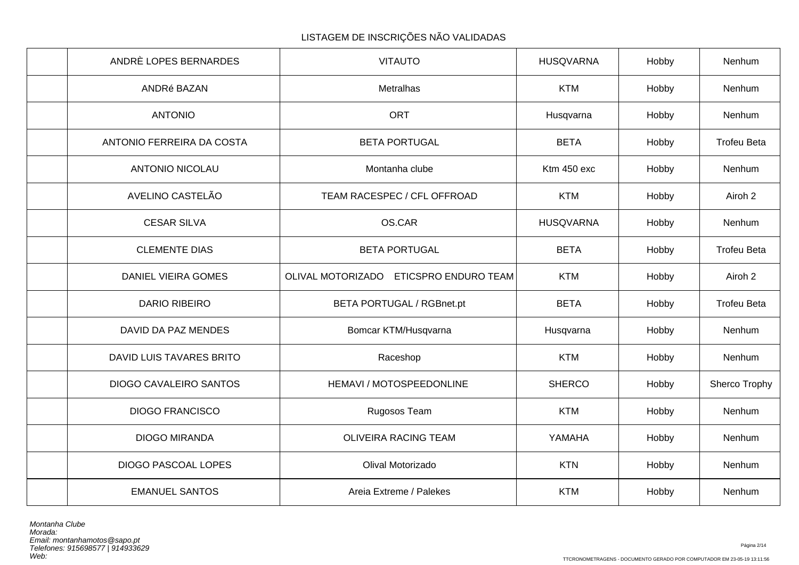| ANDRÈ LOPES BERNARDES      | <b>VITAUTO</b>                         | <b>HUSQVARNA</b> | Hobby | Nenhum             |
|----------------------------|----------------------------------------|------------------|-------|--------------------|
| ANDRé BAZAN                | Metralhas                              | <b>KTM</b>       | Hobby | Nenhum             |
| <b>ANTONIO</b>             | ORT                                    | Husqvarna        | Hobby | Nenhum             |
| ANTONIO FERREIRA DA COSTA  | <b>BETA PORTUGAL</b>                   | <b>BETA</b>      | Hobby | <b>Trofeu Beta</b> |
| <b>ANTONIO NICOLAU</b>     | Montanha clube                         | Ktm 450 exc      | Hobby | Nenhum             |
| AVELINO CASTELÃO           | TEAM RACESPEC / CFL OFFROAD            | <b>KTM</b>       | Hobby | Airoh 2            |
| <b>CESAR SILVA</b>         | OS.CAR                                 | <b>HUSQVARNA</b> | Hobby | Nenhum             |
| <b>CLEMENTE DIAS</b>       | <b>BETA PORTUGAL</b>                   | <b>BETA</b>      | Hobby | <b>Trofeu Beta</b> |
| DANIEL VIEIRA GOMES        | OLIVAL MOTORIZADO ETICSPRO ENDURO TEAM | <b>KTM</b>       | Hobby | Airoh 2            |
| <b>DARIO RIBEIRO</b>       | BETA PORTUGAL / RGBnet.pt              | <b>BETA</b>      | Hobby | <b>Trofeu Beta</b> |
| DAVID DA PAZ MENDES        | Bomcar KTM/Husqvarna                   | Husqvarna        | Hobby | Nenhum             |
| DAVID LUIS TAVARES BRITO   | Raceshop                               | <b>KTM</b>       | Hobby | Nenhum             |
| DIOGO CAVALEIRO SANTOS     | HEMAVI / MOTOSPEEDONLINE               | <b>SHERCO</b>    | Hobby | Sherco Trophy      |
| <b>DIOGO FRANCISCO</b>     | Rugosos Team                           | <b>KTM</b>       | Hobby | Nenhum             |
| <b>DIOGO MIRANDA</b>       | OLIVEIRA RACING TEAM                   | YAMAHA           | Hobby | Nenhum             |
| <b>DIOGO PASCOAL LOPES</b> | Olival Motorizado                      | <b>KTN</b>       | Hobby | Nenhum             |
| <b>EMANUEL SANTOS</b>      | Areia Extreme / Palekes                | <b>KTM</b>       | Hobby | Nenhum             |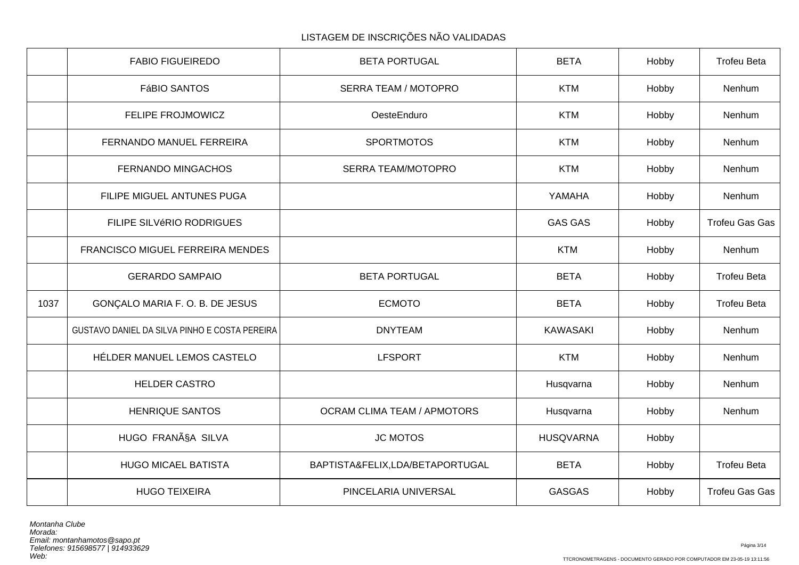|      | <b>FABIO FIGUEIREDO</b>                       | <b>BETA PORTUGAL</b>               | <b>BETA</b>      | Hobby | <b>Trofeu Beta</b>    |
|------|-----------------------------------------------|------------------------------------|------------------|-------|-----------------------|
|      | <b>FáBIO SANTOS</b>                           | <b>SERRA TEAM / MOTOPRO</b>        | <b>KTM</b>       | Hobby | Nenhum                |
|      | FELIPE FROJMOWICZ                             | OesteEnduro                        | <b>KTM</b>       | Hobby | Nenhum                |
|      | FERNANDO MANUEL FERREIRA                      | <b>SPORTMOTOS</b>                  | <b>KTM</b>       | Hobby | Nenhum                |
|      | <b>FERNANDO MINGACHOS</b>                     | <b>SERRA TEAM/MOTOPRO</b>          | <b>KTM</b>       | Hobby | Nenhum                |
|      | FILIPE MIGUEL ANTUNES PUGA                    |                                    | YAMAHA           | Hobby | Nenhum                |
|      | FILIPE SILVéRIO RODRIGUES                     |                                    | <b>GAS GAS</b>   | Hobby | <b>Trofeu Gas Gas</b> |
|      | FRANCISCO MIGUEL FERREIRA MENDES              |                                    | <b>KTM</b>       | Hobby | Nenhum                |
|      | <b>GERARDO SAMPAIO</b>                        | <b>BETA PORTUGAL</b>               | <b>BETA</b>      | Hobby | <b>Trofeu Beta</b>    |
| 1037 | GONÇALO MARIA F. O. B. DE JESUS               | <b>ECMOTO</b>                      | <b>BETA</b>      | Hobby | <b>Trofeu Beta</b>    |
|      | GUSTAVO DANIEL DA SILVA PINHO E COSTA PEREIRA | <b>DNYTEAM</b>                     | <b>KAWASAKI</b>  | Hobby | Nenhum                |
|      | HÉLDER MANUEL LEMOS CASTELO                   | <b>LFSPORT</b>                     | <b>KTM</b>       | Hobby | Nenhum                |
|      | <b>HELDER CASTRO</b>                          |                                    | Husqvarna        | Hobby | Nenhum                |
|      | <b>HENRIQUE SANTOS</b>                        | <b>OCRAM CLIMA TEAM / APMOTORS</b> | Husqvarna        | Hobby | Nenhum                |
|      | HUGO FRANÃSA SILVA                            | <b>JC MOTOS</b>                    | <b>HUSQVARNA</b> | Hobby |                       |
|      | <b>HUGO MICAEL BATISTA</b>                    | BAPTISTA&FELIX,LDA/BETAPORTUGAL    | <b>BETA</b>      | Hobby | <b>Trofeu Beta</b>    |
|      | <b>HUGO TEIXEIRA</b>                          | PINCELARIA UNIVERSAL               | <b>GASGAS</b>    | Hobby | Trofeu Gas Gas        |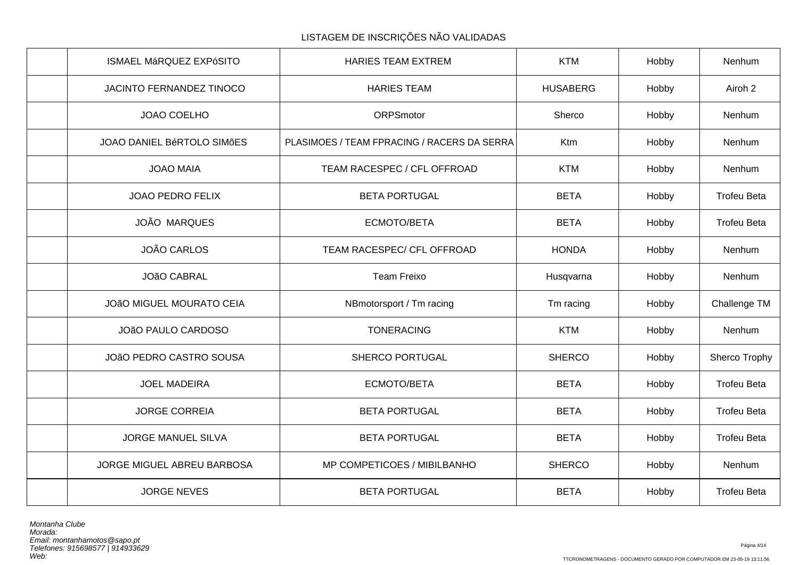| ISMAEL MáRQUEZ EXPóSITO           | <b>HARIES TEAM EXTREM</b>                   | <b>KTM</b>      | Hobby | Nenhum             |
|-----------------------------------|---------------------------------------------|-----------------|-------|--------------------|
| JACINTO FERNANDEZ TINOCO          | <b>HARIES TEAM</b>                          | <b>HUSABERG</b> | Hobby | Airoh 2            |
| JOAO COELHO                       | ORPSmotor                                   | Sherco          | Hobby | Nenhum             |
| <b>JOAO DANIEL BÉRTOLO SIMÕES</b> | PLASIMOES / TEAM FPRACING / RACERS DA SERRA | Ktm             | Hobby | Nenhum             |
| <b>JOAO MAIA</b>                  | TEAM RACESPEC / CFL OFFROAD                 | <b>KTM</b>      | Hobby | Nenhum             |
| <b>JOAO PEDRO FELIX</b>           | <b>BETA PORTUGAL</b>                        | <b>BETA</b>     | Hobby | <b>Trofeu Beta</b> |
| <b>JOÃO MARQUES</b>               | ECMOTO/BETA                                 | <b>BETA</b>     | Hobby | <b>Trofeu Beta</b> |
| JOÃO CARLOS                       | TEAM RACESPEC/ CFL OFFROAD                  | <b>HONDA</b>    | Hobby | Nenhum             |
| <b>JOÃO CABRAL</b>                | <b>Team Freixo</b>                          | Husqvarna       | Hobby | Nenhum             |
| <b>JOÃO MIGUEL MOURATO CEIA</b>   | NBmotorsport / Tm racing                    | Tm racing       | Hobby | Challenge TM       |
| JOÃO PAULO CARDOSO                | <b>TONERACING</b>                           | <b>KTM</b>      | Hobby | Nenhum             |
| JOÃO PEDRO CASTRO SOUSA           | SHERCO PORTUGAL                             | <b>SHERCO</b>   | Hobby | Sherco Trophy      |
| <b>JOEL MADEIRA</b>               | ECMOTO/BETA                                 | <b>BETA</b>     | Hobby | <b>Trofeu Beta</b> |
| <b>JORGE CORREIA</b>              | <b>BETA PORTUGAL</b>                        | <b>BETA</b>     | Hobby | <b>Trofeu Beta</b> |
| <b>JORGE MANUEL SILVA</b>         | <b>BETA PORTUGAL</b>                        | <b>BETA</b>     | Hobby | <b>Trofeu Beta</b> |
| JORGE MIGUEL ABREU BARBOSA        | MP COMPETICOES / MIBILBANHO                 | <b>SHERCO</b>   | Hobby | Nenhum             |
| <b>JORGE NEVES</b>                | <b>BETA PORTUGAL</b>                        | <b>BETA</b>     | Hobby | <b>Trofeu Beta</b> |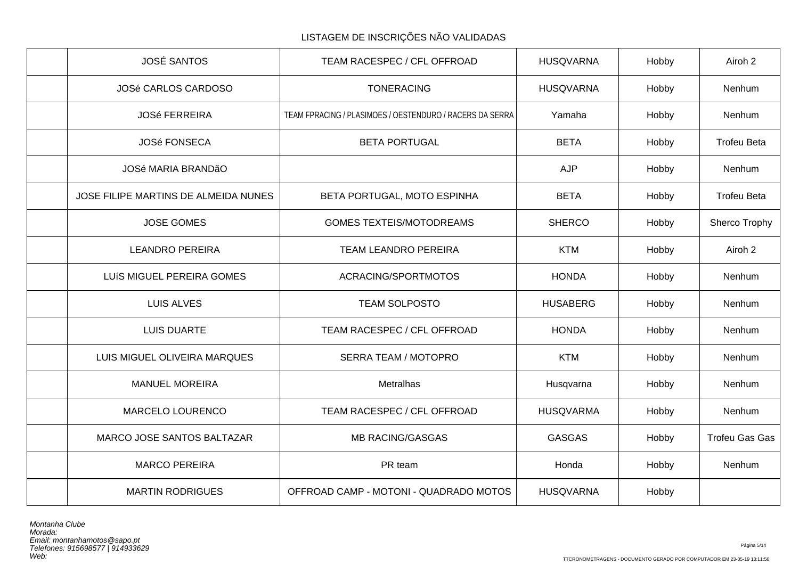| <b>JOSÉ SANTOS</b>                   | TEAM RACESPEC / CFL OFFROAD                              | <b>HUSQVARNA</b> | Hobby | Airoh 2               |
|--------------------------------------|----------------------------------------------------------|------------------|-------|-----------------------|
| JOSé CARLOS CARDOSO                  | <b>TONERACING</b>                                        | <b>HUSQVARNA</b> | Hobby | Nenhum                |
| <b>JOSé FERREIRA</b>                 | TEAM FPRACING / PLASIMOES / OESTENDURO / RACERS DA SERRA | Yamaha           | Hobby | Nenhum                |
| <b>JOSé FONSECA</b>                  | <b>BETA PORTUGAL</b>                                     | <b>BETA</b>      | Hobby | <b>Trofeu Beta</b>    |
| JOSé MARIA BRANDãO                   |                                                          | <b>AJP</b>       | Hobby | Nenhum                |
| JOSE FILIPE MARTINS DE ALMEIDA NUNES | BETA PORTUGAL, MOTO ESPINHA                              | <b>BETA</b>      | Hobby | <b>Trofeu Beta</b>    |
| <b>JOSE GOMES</b>                    | <b>GOMES TEXTEIS/MOTODREAMS</b>                          | <b>SHERCO</b>    | Hobby | Sherco Trophy         |
| <b>LEANDRO PEREIRA</b>               | <b>TEAM LEANDRO PEREIRA</b>                              | <b>KTM</b>       | Hobby | Airoh 2               |
| LUÍS MIGUEL PEREIRA GOMES            | ACRACING/SPORTMOTOS                                      | <b>HONDA</b>     | Hobby | Nenhum                |
| <b>LUIS ALVES</b>                    | <b>TEAM SOLPOSTO</b>                                     | <b>HUSABERG</b>  | Hobby | Nenhum                |
| <b>LUIS DUARTE</b>                   | TEAM RACESPEC / CFL OFFROAD                              | <b>HONDA</b>     | Hobby | Nenhum                |
| LUIS MIGUEL OLIVEIRA MARQUES         | <b>SERRA TEAM / MOTOPRO</b>                              | <b>KTM</b>       | Hobby | Nenhum                |
| <b>MANUEL MOREIRA</b>                | Metralhas                                                | Husqvarna        | Hobby | Nenhum                |
| MARCELO LOURENCO                     | TEAM RACESPEC / CFL OFFROAD                              | <b>HUSQVARMA</b> | Hobby | Nenhum                |
| MARCO JOSE SANTOS BALTAZAR           | <b>MB RACING/GASGAS</b>                                  | <b>GASGAS</b>    | Hobby | <b>Trofeu Gas Gas</b> |
| <b>MARCO PEREIRA</b>                 | PR team                                                  | Honda            | Hobby | Nenhum                |
| <b>MARTIN RODRIGUES</b>              | OFFROAD CAMP - MOTONI - QUADRADO MOTOS                   | <b>HUSQVARNA</b> | Hobby |                       |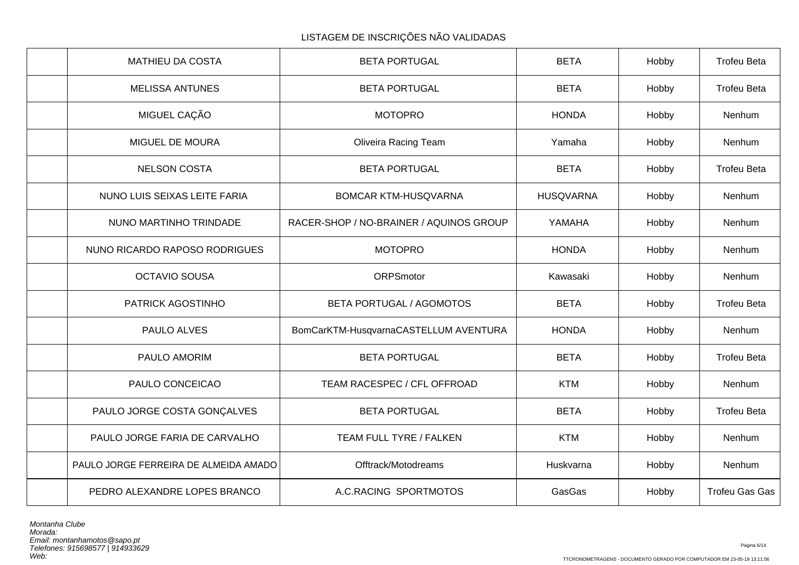| <b>MATHIEU DA COSTA</b>               | <b>BETA PORTUGAL</b>                    | <b>BETA</b>      | Hobby | <b>Trofeu Beta</b>    |
|---------------------------------------|-----------------------------------------|------------------|-------|-----------------------|
| <b>MELISSA ANTUNES</b>                | <b>BETA PORTUGAL</b>                    | <b>BETA</b>      | Hobby | <b>Trofeu Beta</b>    |
| MIGUEL CAÇÃO                          | <b>MOTOPRO</b>                          | <b>HONDA</b>     | Hobby | Nenhum                |
| MIGUEL DE MOURA                       | <b>Oliveira Racing Team</b>             | Yamaha           | Hobby | Nenhum                |
| <b>NELSON COSTA</b>                   | <b>BETA PORTUGAL</b>                    | <b>BETA</b>      | Hobby | <b>Trofeu Beta</b>    |
| NUNO LUIS SEIXAS LEITE FARIA          | <b>BOMCAR KTM-HUSQVARNA</b>             | <b>HUSQVARNA</b> | Hobby | Nenhum                |
| NUNO MARTINHO TRINDADE                | RACER-SHOP / NO-BRAINER / AQUINOS GROUP | YAMAHA           | Hobby | Nenhum                |
| NUNO RICARDO RAPOSO RODRIGUES         | <b>MOTOPRO</b>                          | <b>HONDA</b>     | Hobby | Nenhum                |
| <b>OCTAVIO SOUSA</b>                  | ORPSmotor                               | Kawasaki         | Hobby | Nenhum                |
| PATRICK AGOSTINHO                     | BETA PORTUGAL / AGOMOTOS                | <b>BETA</b>      | Hobby | <b>Trofeu Beta</b>    |
| PAULO ALVES                           | BomCarKTM-HusqvarnaCASTELLUM AVENTURA   | <b>HONDA</b>     | Hobby | Nenhum                |
| PAULO AMORIM                          | <b>BETA PORTUGAL</b>                    | <b>BETA</b>      | Hobby | <b>Trofeu Beta</b>    |
| PAULO CONCEICAO                       | TEAM RACESPEC / CFL OFFROAD             | <b>KTM</b>       | Hobby | Nenhum                |
| PAULO JORGE COSTA GONÇALVES           | <b>BETA PORTUGAL</b>                    | <b>BETA</b>      | Hobby | <b>Trofeu Beta</b>    |
| PAULO JORGE FARIA DE CARVALHO         | TEAM FULL TYRE / FALKEN                 | <b>KTM</b>       | Hobby | Nenhum                |
| PAULO JORGE FERREIRA DE ALMEIDA AMADO | Offtrack/Motodreams                     | Huskvarna        | Hobby | Nenhum                |
| PEDRO ALEXANDRE LOPES BRANCO          | A.C.RACING SPORTMOTOS                   | GasGas           | Hobby | <b>Trofeu Gas Gas</b> |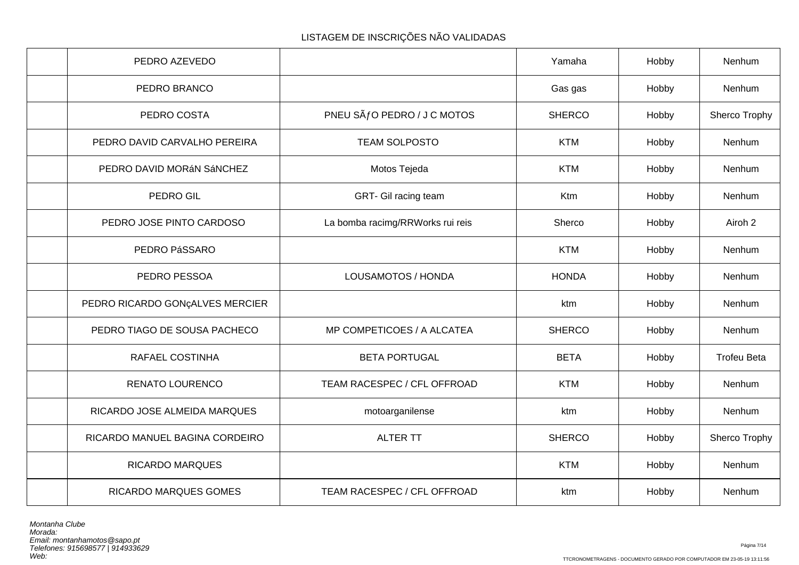| PEDRO AZEVEDO                   |                                  | Yamaha        | Hobby | Nenhum             |
|---------------------------------|----------------------------------|---------------|-------|--------------------|
| PEDRO BRANCO                    |                                  | Gas gas       | Hobby | Nenhum             |
| PEDRO COSTA                     | PNEU SÃ fO PEDRO / J C MOTOS     | <b>SHERCO</b> | Hobby | Sherco Trophy      |
| PEDRO DAVID CARVALHO PEREIRA    | <b>TEAM SOLPOSTO</b>             | <b>KTM</b>    | Hobby | Nenhum             |
| PEDRO DAVID MORÁN SÁNCHEZ       | Motos Tejeda                     | <b>KTM</b>    | Hobby | Nenhum             |
| PEDRO GIL                       | GRT- Gil racing team             | Ktm           | Hobby | Nenhum             |
| PEDRO JOSE PINTO CARDOSO        | La bomba racimg/RRWorks rui reis | Sherco        | Hobby | Airoh 2            |
| PEDRO PáSSARO                   |                                  | <b>KTM</b>    | Hobby | Nenhum             |
| PEDRO PESSOA                    | LOUSAMOTOS / HONDA               | <b>HONDA</b>  | Hobby | Nenhum             |
| PEDRO RICARDO GONÇALVES MERCIER |                                  | ktm           | Hobby | Nenhum             |
| PEDRO TIAGO DE SOUSA PACHECO    | MP COMPETICOES / A ALCATEA       | <b>SHERCO</b> | Hobby | Nenhum             |
| RAFAEL COSTINHA                 | <b>BETA PORTUGAL</b>             | <b>BETA</b>   | Hobby | <b>Trofeu Beta</b> |
| RENATO LOURENCO                 | TEAM RACESPEC / CFL OFFROAD      | <b>KTM</b>    | Hobby | Nenhum             |
| RICARDO JOSE ALMEIDA MARQUES    | motoarganilense                  | ktm           | Hobby | Nenhum             |
| RICARDO MANUEL BAGINA CORDEIRO  | <b>ALTER TT</b>                  | <b>SHERCO</b> | Hobby | Sherco Trophy      |
| <b>RICARDO MARQUES</b>          |                                  | <b>KTM</b>    | Hobby | Nenhum             |
| <b>RICARDO MARQUES GOMES</b>    | TEAM RACESPEC / CFL OFFROAD      | ktm           | Hobby | Nenhum             |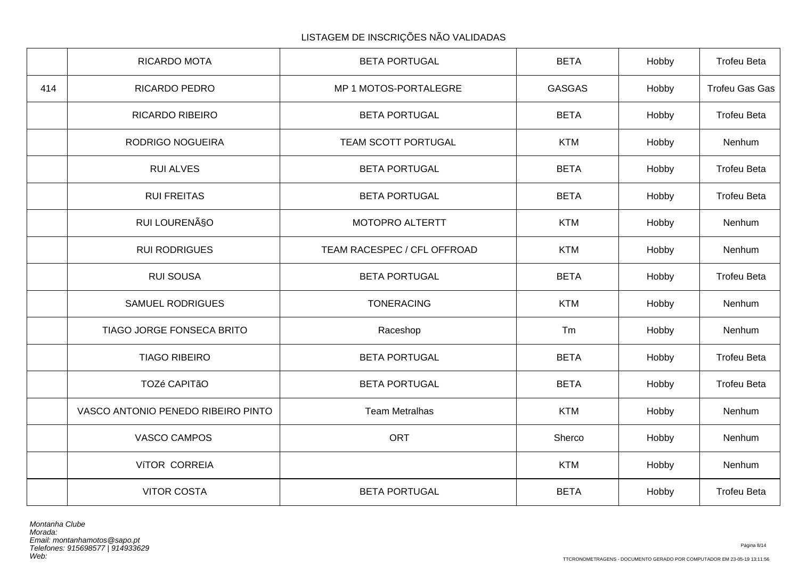|     | RICARDO MOTA                       | <b>BETA PORTUGAL</b>        | <b>BETA</b>   | Hobby | <b>Trofeu Beta</b>    |
|-----|------------------------------------|-----------------------------|---------------|-------|-----------------------|
| 414 | RICARDO PEDRO                      | MP 1 MOTOS-PORTALEGRE       | <b>GASGAS</b> | Hobby | <b>Trofeu Gas Gas</b> |
|     | <b>RICARDO RIBEIRO</b>             | <b>BETA PORTUGAL</b>        | <b>BETA</b>   | Hobby | <b>Trofeu Beta</b>    |
|     | <b>RODRIGO NOGUEIRA</b>            | TEAM SCOTT PORTUGAL         | <b>KTM</b>    | Hobby | Nenhum                |
|     | <b>RUI ALVES</b>                   | <b>BETA PORTUGAL</b>        | <b>BETA</b>   | Hobby | <b>Trofeu Beta</b>    |
|     | <b>RUI FREITAS</b>                 | <b>BETA PORTUGAL</b>        | <b>BETA</b>   | Hobby | <b>Trofeu Beta</b>    |
|     | RUI LOURENÃSO                      | MOTOPRO ALTERTT             | <b>KTM</b>    | Hobby | Nenhum                |
|     | <b>RUI RODRIGUES</b>               | TEAM RACESPEC / CFL OFFROAD | <b>KTM</b>    | Hobby | Nenhum                |
|     | <b>RUI SOUSA</b>                   | <b>BETA PORTUGAL</b>        | <b>BETA</b>   | Hobby | <b>Trofeu Beta</b>    |
|     | <b>SAMUEL RODRIGUES</b>            | <b>TONERACING</b>           | <b>KTM</b>    | Hobby | Nenhum                |
|     | TIAGO JORGE FONSECA BRITO          | Raceshop                    | Tm            | Hobby | Nenhum                |
|     | <b>TIAGO RIBEIRO</b>               | <b>BETA PORTUGAL</b>        | <b>BETA</b>   | Hobby | <b>Trofeu Beta</b>    |
|     | TOZé CAPITãO                       | <b>BETA PORTUGAL</b>        | <b>BETA</b>   | Hobby | <b>Trofeu Beta</b>    |
|     | VASCO ANTONIO PENEDO RIBEIRO PINTO | <b>Team Metralhas</b>       | <b>KTM</b>    | Hobby | Nenhum                |
|     | VASCO CAMPOS                       | <b>ORT</b>                  | Sherco        | Hobby | Nenhum                |
|     | VÍTOR CORREIA                      |                             | <b>KTM</b>    | Hobby | Nenhum                |
|     | <b>VITOR COSTA</b>                 | <b>BETA PORTUGAL</b>        | <b>BETA</b>   | Hobby | <b>Trofeu Beta</b>    |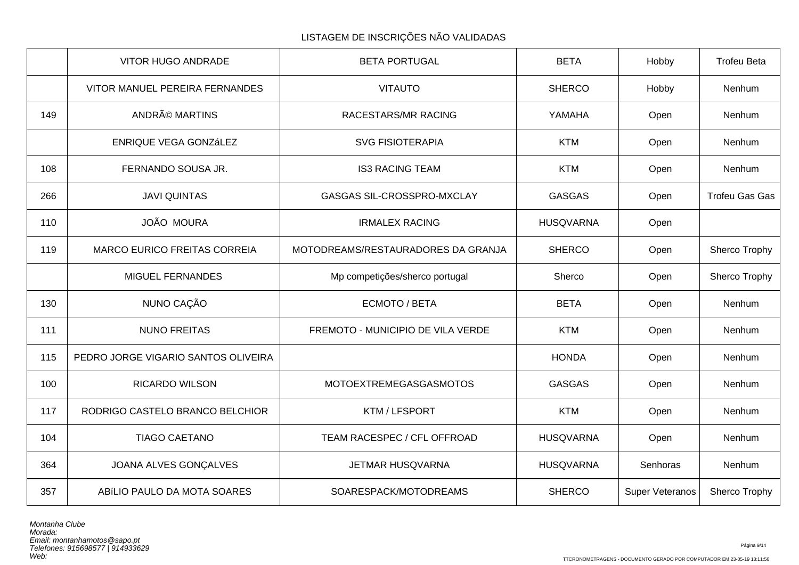|     | <b>VITOR HUGO ANDRADE</b>           | <b>BETA PORTUGAL</b>               | <b>BETA</b>      | Hobby           | <b>Trofeu Beta</b>    |
|-----|-------------------------------------|------------------------------------|------------------|-----------------|-----------------------|
|     | VITOR MANUEL PEREIRA FERNANDES      | <b>VITAUTO</b>                     | <b>SHERCO</b>    | Hobby           | Nenhum                |
| 149 | ANDRé MARTINS                       | RACESTARS/MR RACING                | YAMAHA           | Open            | Nenhum                |
|     | ENRIQUE VEGA GONZÁLEZ               | <b>SVG FISIOTERAPIA</b>            | <b>KTM</b>       | Open            | Nenhum                |
| 108 | FERNANDO SOUSA JR.                  | <b>IS3 RACING TEAM</b>             | <b>KTM</b>       | Open            | Nenhum                |
| 266 | <b>JAVI QUINTAS</b>                 | GASGAS SIL-CROSSPRO-MXCLAY         | <b>GASGAS</b>    | Open            | <b>Trofeu Gas Gas</b> |
| 110 | <b>JOÃO MOURA</b>                   | <b>IRMALEX RACING</b>              | <b>HUSQVARNA</b> | Open            |                       |
| 119 | <b>MARCO EURICO FREITAS CORREIA</b> | MOTODREAMS/RESTAURADORES DA GRANJA | <b>SHERCO</b>    | Open            | Sherco Trophy         |
|     | MIGUEL FERNANDES                    | Mp competições/sherco portugal     | Sherco           | Open            | Sherco Trophy         |
| 130 | NUNO CAÇÃO                          | ECMOTO / BETA                      | <b>BETA</b>      | Open            | Nenhum                |
| 111 | <b>NUNO FREITAS</b>                 | FREMOTO - MUNICIPIO DE VILA VERDE  | <b>KTM</b>       | Open            | Nenhum                |
| 115 | PEDRO JORGE VIGARIO SANTOS OLIVEIRA |                                    | <b>HONDA</b>     | Open            | Nenhum                |
| 100 | <b>RICARDO WILSON</b>               | <b>MOTOEXTREMEGASGASMOTOS</b>      | <b>GASGAS</b>    | Open            | Nenhum                |
| 117 | RODRIGO CASTELO BRANCO BELCHIOR     | KTM / LFSPORT                      | <b>KTM</b>       | Open            | Nenhum                |
| 104 | <b>TIAGO CAETANO</b>                | TEAM RACESPEC / CFL OFFROAD        | <b>HUSQVARNA</b> | Open            | Nenhum                |
| 364 | JOANA ALVES GONÇALVES               | JETMAR HUSQVARNA                   | <b>HUSQVARNA</b> | Senhoras        | Nenhum                |
| 357 | ABÍLIO PAULO DA MOTA SOARES         | SOARESPACK/MOTODREAMS              | <b>SHERCO</b>    | Super Veteranos | Sherco Trophy         |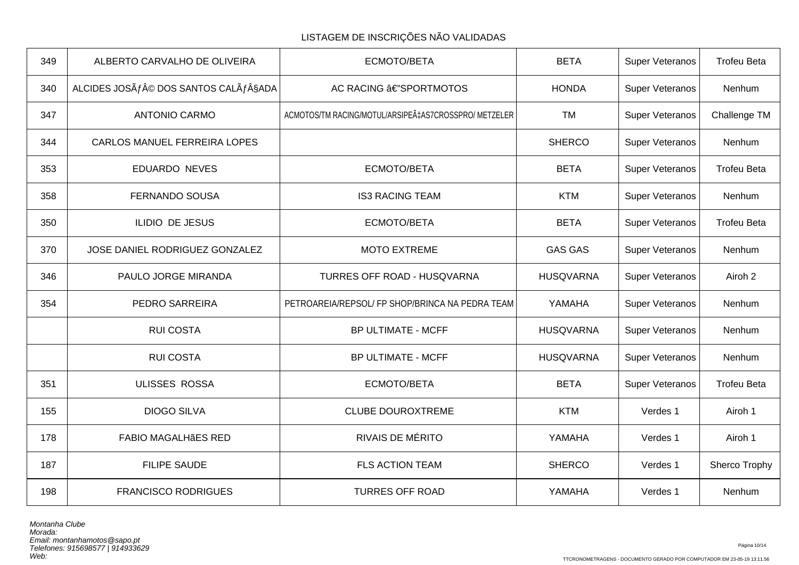| 349 | ALBERTO CARVALHO DE OLIVEIRA                | ECMOTO/BETA                                          | <b>BETA</b>      | Super Veteranos | <b>Trofeu Beta</b> |
|-----|---------------------------------------------|------------------------------------------------------|------------------|-----------------|--------------------|
| 340 | ALCIDES JOSÃ $f$ © DOS SANTOS CALÃ $f$ §ADA | AC RACING â€"SPORTMOTOS                              | <b>HONDA</b>     | Super Veteranos | Nenhum             |
| 347 | <b>ANTONIO CARMO</b>                        | ACMOTOS/TM RACING/MOTUL/ARSIPEÇAS7CROSSPRO/ METZELER | <b>TM</b>        | Super Veteranos | Challenge TM       |
| 344 | CARLOS MANUEL FERREIRA LOPES                |                                                      | <b>SHERCO</b>    | Super Veteranos | Nenhum             |
| 353 | <b>EDUARDO NEVES</b>                        | ECMOTO/BETA                                          | <b>BETA</b>      | Super Veteranos | <b>Trofeu Beta</b> |
| 358 | <b>FERNANDO SOUSA</b>                       | <b>IS3 RACING TEAM</b>                               | <b>KTM</b>       | Super Veteranos | Nenhum             |
| 350 | <b>ILIDIO DE JESUS</b>                      | ECMOTO/BETA                                          | <b>BETA</b>      | Super Veteranos | <b>Trofeu Beta</b> |
| 370 | JOSE DANIEL RODRIGUEZ GONZALEZ              | <b>MOTO EXTREME</b>                                  | <b>GAS GAS</b>   | Super Veteranos | Nenhum             |
| 346 | PAULO JORGE MIRANDA                         | TURRES OFF ROAD - HUSQVARNA                          | <b>HUSQVARNA</b> | Super Veteranos | Airoh 2            |
| 354 | PEDRO SARREIRA                              | PETROAREIA/REPSOL/ FP SHOP/BRINCA NA PEDRA TEAM      | YAMAHA           | Super Veteranos | Nenhum             |
|     | <b>RUI COSTA</b>                            | <b>BP ULTIMATE - MCFF</b>                            | <b>HUSQVARNA</b> | Super Veteranos | Nenhum             |
|     | <b>RUI COSTA</b>                            | <b>BP ULTIMATE - MCFF</b>                            | <b>HUSQVARNA</b> | Super Veteranos | Nenhum             |
| 351 | ULISSES ROSSA                               | ECMOTO/BETA                                          | <b>BETA</b>      | Super Veteranos | <b>Trofeu Beta</b> |
| 155 | <b>DIOGO SILVA</b>                          | <b>CLUBE DOUROXTREME</b>                             | <b>KTM</b>       | Verdes 1        | Airoh 1            |
| 178 | <b>FABIO MAGALHÃES RED</b>                  | <b>RIVAIS DE MÉRITO</b>                              | YAMAHA           | Verdes 1        | Airoh 1            |
| 187 | <b>FILIPE SAUDE</b>                         | <b>FLS ACTION TEAM</b>                               | <b>SHERCO</b>    | Verdes 1        | Sherco Trophy      |
| 198 | <b>FRANCISCO RODRIGUES</b>                  | <b>TURRES OFF ROAD</b>                               | YAMAHA           | Verdes 1        | Nenhum             |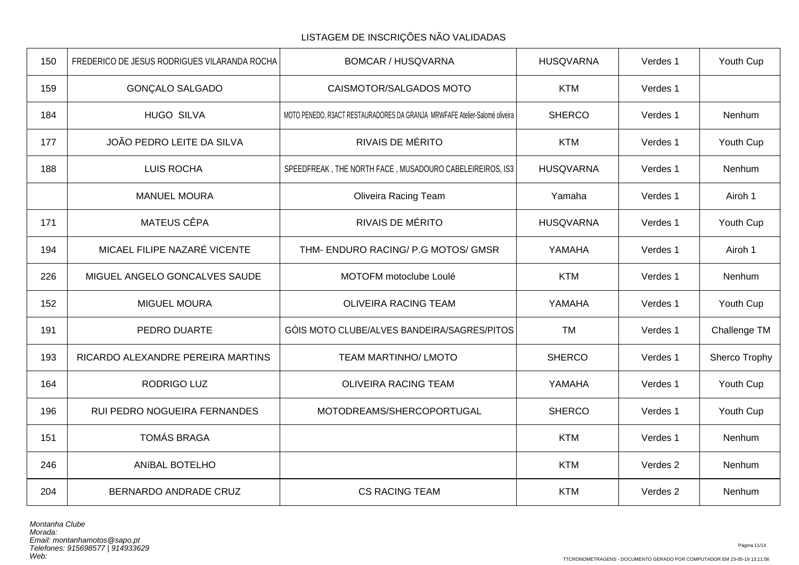| 150 | FREDERICO DE JESUS RODRIGUES VILARANDA ROCHA | <b>BOMCAR / HUSQVARNA</b>                                                  | <b>HUSQVARNA</b> | Verdes 1 | Youth Cup     |
|-----|----------------------------------------------|----------------------------------------------------------------------------|------------------|----------|---------------|
| 159 | <b>GONÇALO SALGADO</b>                       | CAISMOTOR/SALGADOS MOTO                                                    | <b>KTM</b>       | Verdes 1 |               |
| 184 | <b>HUGO SILVA</b>                            | MOTO PENEDO, R3ACT RESTAURADORES DA GRANJA MRWFAFE Atelier-Salomé oliveira | <b>SHERCO</b>    | Verdes 1 | Nenhum        |
| 177 | JOÃO PEDRO LEITE DA SILVA                    | <b>RIVAIS DE MÉRITO</b>                                                    | <b>KTM</b>       | Verdes 1 | Youth Cup     |
| 188 | <b>LUIS ROCHA</b>                            | SPEEDFREAK, THE NORTH FACE, MUSADOURO CABELEIREIROS, IS3                   | <b>HUSQVARNA</b> | Verdes 1 | Nenhum        |
|     | <b>MANUEL MOURA</b>                          | <b>Oliveira Racing Team</b>                                                | Yamaha           | Verdes 1 | Airoh 1       |
| 171 | <b>MATEUS CÊPA</b>                           | <b>RIVAIS DE MÉRITO</b>                                                    | <b>HUSQVARNA</b> | Verdes 1 | Youth Cup     |
| 194 | MICAEL FILIPE NAZARÉ VICENTE                 | THM- ENDURO RACING/ P.G MOTOS/ GMSR                                        | YAMAHA           | Verdes 1 | Airoh 1       |
| 226 | MIGUEL ANGELO GONCALVES SAUDE                | MOTOFM motoclube Loulé                                                     | <b>KTM</b>       | Verdes 1 | Nenhum        |
| 152 | <b>MIGUEL MOURA</b>                          | <b>OLIVEIRA RACING TEAM</b>                                                | YAMAHA           | Verdes 1 | Youth Cup     |
| 191 | PEDRO DUARTE                                 | GÓIS MOTO CLUBE/ALVES BANDEIRA/SAGRES/PITOS                                | <b>TM</b>        | Verdes 1 | Challenge TM  |
| 193 | RICARDO ALEXANDRE PEREIRA MARTINS            | <b>TEAM MARTINHO/ LMOTO</b>                                                | <b>SHERCO</b>    | Verdes 1 | Sherco Trophy |
| 164 | <b>RODRIGO LUZ</b>                           | <b>OLIVEIRA RACING TEAM</b>                                                | YAMAHA           | Verdes 1 | Youth Cup     |
| 196 | RUI PEDRO NOGUEIRA FERNANDES                 | MOTODREAMS/SHERCOPORTUGAL                                                  | <b>SHERCO</b>    | Verdes 1 | Youth Cup     |
| 151 | <b>TOMÁS BRAGA</b>                           |                                                                            | <b>KTM</b>       | Verdes 1 | Nenhum        |
| 246 | ANÍBAL BOTELHO                               |                                                                            | <b>KTM</b>       | Verdes 2 | Nenhum        |
| 204 | BERNARDO ANDRADE CRUZ                        | <b>CS RACING TEAM</b>                                                      | <b>KTM</b>       | Verdes 2 | Nenhum        |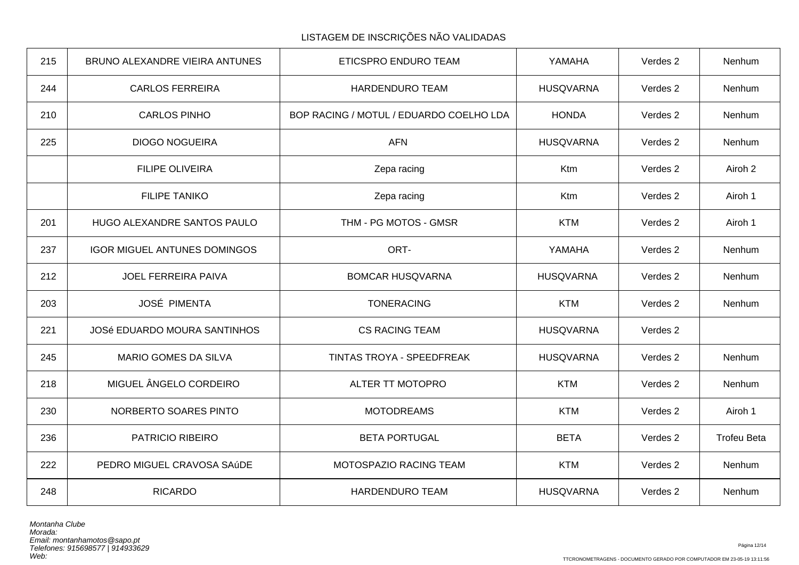| 215 | BRUNO ALEXANDRE VIEIRA ANTUNES      | ETICSPRO ENDURO TEAM                    | YAMAHA           | Verdes 2 | Nenhum             |
|-----|-------------------------------------|-----------------------------------------|------------------|----------|--------------------|
| 244 | <b>CARLOS FERREIRA</b>              | <b>HARDENDURO TEAM</b>                  | <b>HUSQVARNA</b> | Verdes 2 | Nenhum             |
| 210 | <b>CARLOS PINHO</b>                 | BOP RACING / MOTUL / EDUARDO COELHO LDA | <b>HONDA</b>     | Verdes 2 | Nenhum             |
| 225 | <b>DIOGO NOGUEIRA</b>               | <b>AFN</b>                              | <b>HUSQVARNA</b> | Verdes 2 | Nenhum             |
|     | <b>FILIPE OLIVEIRA</b>              | Zepa racing                             | Ktm              | Verdes 2 | Airoh 2            |
|     | <b>FILIPE TANIKO</b>                | Zepa racing                             | Ktm              | Verdes 2 | Airoh 1            |
| 201 | HUGO ALEXANDRE SANTOS PAULO         | THM - PG MOTOS - GMSR                   | <b>KTM</b>       | Verdes 2 | Airoh 1            |
| 237 | <b>IGOR MIGUEL ANTUNES DOMINGOS</b> | ORT-                                    | YAMAHA           | Verdes 2 | Nenhum             |
| 212 | JOEL FERREIRA PAIVA                 | <b>BOMCAR HUSQVARNA</b>                 | <b>HUSQVARNA</b> | Verdes 2 | Nenhum             |
| 203 | JOSÉ PIMENTA                        | <b>TONERACING</b>                       | <b>KTM</b>       | Verdes 2 | Nenhum             |
| 221 | <b>JOSé EDUARDO MOURA SANTINHOS</b> | <b>CS RACING TEAM</b>                   | <b>HUSQVARNA</b> | Verdes 2 |                    |
| 245 | <b>MARIO GOMES DA SILVA</b>         | TINTAS TROYA - SPEEDFREAK               | <b>HUSQVARNA</b> | Verdes 2 | Nenhum             |
| 218 | MIGUEL ÂNGELO CORDEIRO              | ALTER TT MOTOPRO                        | <b>KTM</b>       | Verdes 2 | Nenhum             |
| 230 | NORBERTO SOARES PINTO               | <b>MOTODREAMS</b>                       | <b>KTM</b>       | Verdes 2 | Airoh 1            |
| 236 | PATRICIO RIBEIRO                    | <b>BETA PORTUGAL</b>                    | <b>BETA</b>      | Verdes 2 | <b>Trofeu Beta</b> |
| 222 | PEDRO MIGUEL CRAVOSA SAÚDE          | MOTOSPAZIO RACING TEAM                  | <b>KTM</b>       | Verdes 2 | Nenhum             |
| 248 | <b>RICARDO</b>                      | HARDENDURO TEAM                         | <b>HUSQVARNA</b> | Verdes 2 | Nenhum             |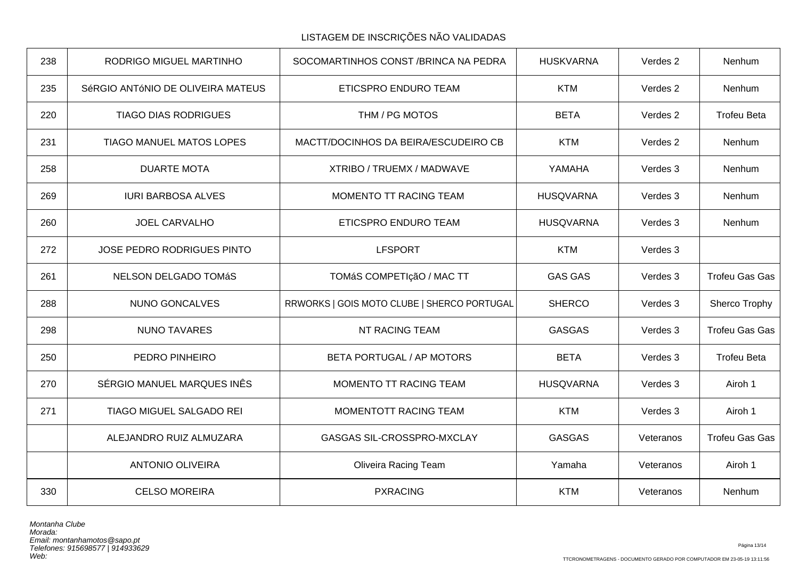LISTAGEM DE INSCRIÇÕES NÃO VALIDADAS

| 238 | RODRIGO MIGUEL MARTINHO           | SOCOMARTINHOS CONST / BRINCA NA PEDRA       | <b>HUSKVARNA</b> | Verdes 2  | Nenhum                |
|-----|-----------------------------------|---------------------------------------------|------------------|-----------|-----------------------|
| 235 | SéRGIO ANTÓNIO DE OLIVEIRA MATEUS | ETICSPRO ENDURO TEAM                        | <b>KTM</b>       | Verdes 2  | Nenhum                |
| 220 | <b>TIAGO DIAS RODRIGUES</b>       | THM / PG MOTOS                              | <b>BETA</b>      | Verdes 2  | <b>Trofeu Beta</b>    |
| 231 | TIAGO MANUEL MATOS LOPES          | MACTT/DOCINHOS DA BEIRA/ESCUDEIRO CB        | <b>KTM</b>       | Verdes 2  | Nenhum                |
| 258 | <b>DUARTE MOTA</b>                | XTRIBO / TRUEMX / MADWAVE                   | YAMAHA           | Verdes 3  | Nenhum                |
| 269 | <b>IURI BARBOSA ALVES</b>         | MOMENTO TT RACING TEAM                      | <b>HUSQVARNA</b> | Verdes 3  | Nenhum                |
| 260 | <b>JOEL CARVALHO</b>              | ETICSPRO ENDURO TEAM                        | <b>HUSQVARNA</b> | Verdes 3  | Nenhum                |
| 272 | JOSE PEDRO RODRIGUES PINTO        | <b>LFSPORT</b>                              | <b>KTM</b>       | Verdes 3  |                       |
| 261 | NELSON DELGADO TOMÁS              | TOMÁS COMPETIçãO / MAC TT                   | <b>GAS GAS</b>   | Verdes 3  | <b>Trofeu Gas Gas</b> |
| 288 | <b>NUNO GONCALVES</b>             | RRWORKS   GOIS MOTO CLUBE   SHERCO PORTUGAL | <b>SHERCO</b>    | Verdes 3  | Sherco Trophy         |
| 298 | <b>NUNO TAVARES</b>               | <b>NT RACING TEAM</b>                       | <b>GASGAS</b>    | Verdes 3  | <b>Trofeu Gas Gas</b> |
| 250 | PEDRO PINHEIRO                    | BETA PORTUGAL / AP MOTORS                   | <b>BETA</b>      | Verdes 3  | <b>Trofeu Beta</b>    |
| 270 | SÉRGIO MANUEL MARQUES INÊS        | MOMENTO TT RACING TEAM                      | <b>HUSQVARNA</b> | Verdes 3  | Airoh 1               |
| 271 | TIAGO MIGUEL SALGADO REI          | MOMENTOTT RACING TEAM                       | <b>KTM</b>       | Verdes 3  | Airoh 1               |
|     | ALEJANDRO RUIZ ALMUZARA           | GASGAS SIL-CROSSPRO-MXCLAY                  | <b>GASGAS</b>    | Veteranos | <b>Trofeu Gas Gas</b> |
|     | <b>ANTONIO OLIVEIRA</b>           | <b>Oliveira Racing Team</b>                 | Yamaha           | Veteranos | Airoh 1               |
| 330 | <b>CELSO MOREIRA</b>              | <b>PXRACING</b>                             | <b>KTM</b>       | Veteranos | Nenhum                |